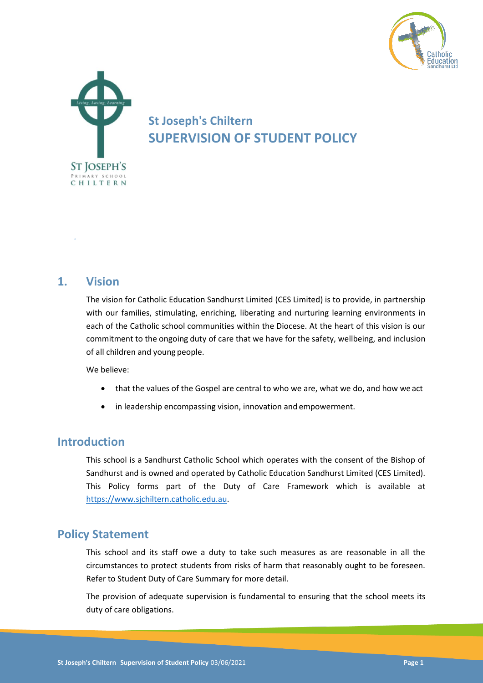



# **St Joseph's Chiltern SUPERVISION OF STUDENT POLICY**

### **1. Vision**

*.*

The vision for Catholic Education Sandhurst Limited (CES Limited) is to provide, in partnership with our families, stimulating, enriching, liberating and nurturing learning environments in each of the Catholic school communities within the Diocese. At the heart of this vision is our commitment to the ongoing duty of care that we have for the safety, wellbeing, and inclusion of all children and young people.

We believe:

- that the values of the Gospel are central to who we are, what we do, and how we act
- in leadership encompassing vision, innovation and empowerment.

### **Introduction**

This school is a Sandhurst Catholic School which operates with the consent of the Bishop of Sandhurst and is owned and operated by Catholic Education Sandhurst Limited (CES Limited). This Policy forms part of the Duty of Care Framework which is available at [https://www.sjchiltern.catholic.edu.au.](https://www.sjchiltern.catholic.edu.au/)

### **Policy Statement**

This school and its staff owe a duty to take such measures as are reasonable in all the circumstances to protect students from risks of harm that reasonably ought to be foreseen. Refer to Student Duty of Care Summary for more detail.

The provision of adequate supervision is fundamental to ensuring that the school meets its duty of care obligations.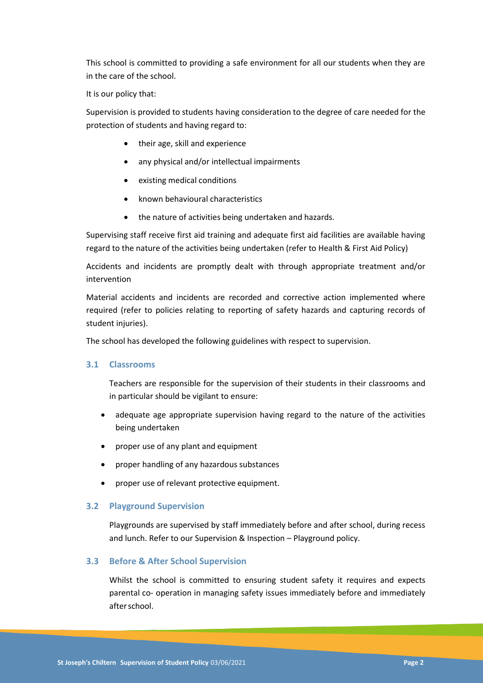This school is committed to providing a safe environment for all our students when they are in the care of the school.

It is our policy that:

Supervision is provided to students having consideration to the degree of care needed for the protection of students and having regard to:

- their age, skill and experience
- any physical and/or intellectual impairments
- existing medical conditions
- known behavioural characteristics
- the nature of activities being undertaken and hazards.

Supervising staff receive first aid training and adequate first aid facilities are available having regard to the nature of the activities being undertaken (refer to Health & First Aid Policy)

Accidents and incidents are promptly dealt with through appropriate treatment and/or intervention

Material accidents and incidents are recorded and corrective action implemented where required (refer to policies relating to reporting of safety hazards and capturing records of student injuries).

The school has developed the following guidelines with respect to supervision.

#### **3.1 Classrooms**

Teachers are responsible for the supervision of their students in their classrooms and in particular should be vigilant to ensure:

- adequate age appropriate supervision having regard to the nature of the activities being undertaken
- proper use of any plant and equipment
- proper handling of any hazardous substances
- proper use of relevant protective equipment.

#### **3.2 Playground Supervision**

Playgrounds are supervised by staff immediately before and after school, during recess and lunch. Refer to our Supervision & Inspection – Playground policy.

#### **3.3 Before & After School Supervision**

Whilst the school is committed to ensuring student safety it requires and expects parental co- operation in managing safety issues immediately before and immediately afterschool.